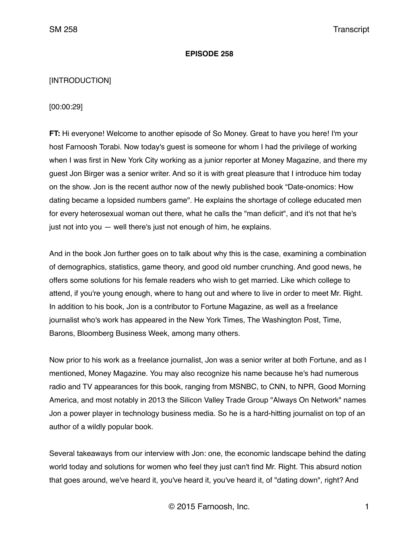#### **EPISODE 258**

### [INTRODUCTION]

[00:00:29]

**FT:** Hi everyone! Welcome to another episode of So Money. Great to have you here! I'm your host Farnoosh Torabi. Now today's guest is someone for whom I had the privilege of working when I was first in New York City working as a junior reporter at Money Magazine, and there my guest Jon Birger was a senior writer. And so it is with great pleasure that I introduce him today on the show. Jon is the recent author now of the newly published book "Date-onomics: How dating became a lopsided numbers game". He explains the shortage of college educated men for every heterosexual woman out there, what he calls the "man deficit", and it's not that he's just not into you — well there's just not enough of him, he explains.

And in the book Jon further goes on to talk about why this is the case, examining a combination of demographics, statistics, game theory, and good old number crunching. And good news, he offers some solutions for his female readers who wish to get married. Like which college to attend, if you're young enough, where to hang out and where to live in order to meet Mr. Right. In addition to his book, Jon is a contributor to Fortune Magazine, as well as a freelance journalist who's work has appeared in the New York Times, The Washington Post, Time, Barons, Bloomberg Business Week, among many others.

Now prior to his work as a freelance journalist, Jon was a senior writer at both Fortune, and as I mentioned, Money Magazine. You may also recognize his name because he's had numerous radio and TV appearances for this book, ranging from MSNBC, to CNN, to NPR, Good Morning America, and most notably in 2013 the Silicon Valley Trade Group "Always On Network" names Jon a power player in technology business media. So he is a hard-hitting journalist on top of an author of a wildly popular book.

Several takeaways from our interview with Jon: one, the economic landscape behind the dating world today and solutions for women who feel they just can't find Mr. Right. This absurd notion that goes around, we've heard it, you've heard it, you've heard it, of "dating down", right? And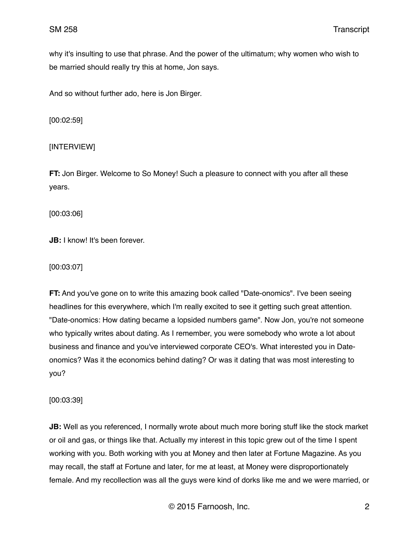why it's insulting to use that phrase. And the power of the ultimatum; why women who wish to be married should really try this at home, Jon says.

And so without further ado, here is Jon Birger.

[00:02:59]

# [INTERVIEW]

**FT:** Jon Birger. Welcome to So Money! Such a pleasure to connect with you after all these years.

[00:03:06]

**JB:** I know! It's been forever.

#### [00:03:07]

**FT:** And you've gone on to write this amazing book called "Date-onomics". I've been seeing headlines for this everywhere, which I'm really excited to see it getting such great attention. "Date-onomics: How dating became a lopsided numbers game". Now Jon, you're not someone who typically writes about dating. As I remember, you were somebody who wrote a lot about business and finance and you've interviewed corporate CEO's. What interested you in Dateonomics? Was it the economics behind dating? Or was it dating that was most interesting to you?

[00:03:39]

**JB:** Well as you referenced, I normally wrote about much more boring stuff like the stock market or oil and gas, or things like that. Actually my interest in this topic grew out of the time I spent working with you. Both working with you at Money and then later at Fortune Magazine. As you may recall, the staff at Fortune and later, for me at least, at Money were disproportionately female. And my recollection was all the guys were kind of dorks like me and we were married, or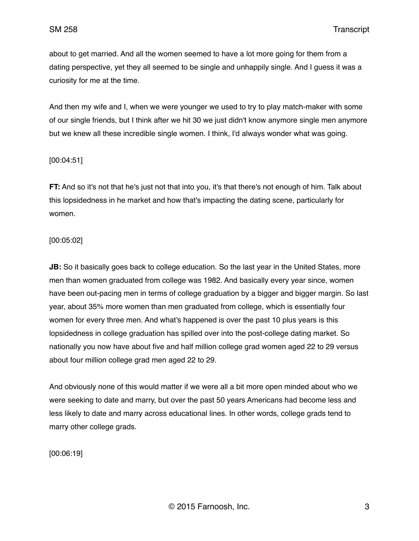about to get married. And all the women seemed to have a lot more going for them from a dating perspective, yet they all seemed to be single and unhappily single. And I guess it was a curiosity for me at the time.

And then my wife and I, when we were younger we used to try to play match-maker with some of our single friends, but I think after we hit 30 we just didn't know anymore single men anymore but we knew all these incredible single women. I think, I'd always wonder what was going.

# [00:04:51]

**FT:** And so it's not that he's just not that into you, it's that there's not enough of him. Talk about this lopsidedness in he market and how that's impacting the dating scene, particularly for women.

# [00:05:02]

**JB:** So it basically goes back to college education. So the last year in the United States, more men than women graduated from college was 1982. And basically every year since, women have been out-pacing men in terms of college graduation by a bigger and bigger margin. So last year, about 35% more women than men graduated from college, which is essentially four women for every three men. And what's happened is over the past 10 plus years is this lopsidedness in college graduation has spilled over into the post-college dating market. So nationally you now have about five and half million college grad women aged 22 to 29 versus about four million college grad men aged 22 to 29.

And obviously none of this would matter if we were all a bit more open minded about who we were seeking to date and marry, but over the past 50 years Americans had become less and less likely to date and marry across educational lines. In other words, college grads tend to marry other college grads.

[00:06:19]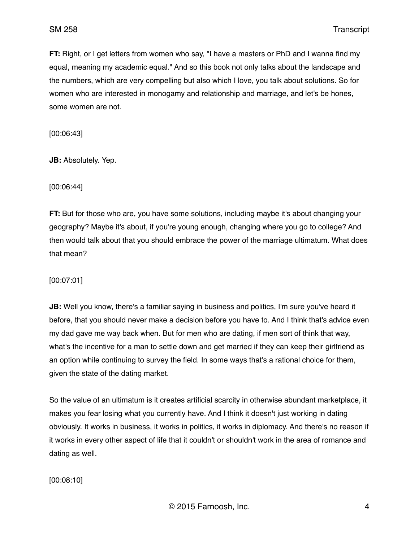**FT:** Right, or I get letters from women who say, "I have a masters or PhD and I wanna find my equal, meaning my academic equal." And so this book not only talks about the landscape and the numbers, which are very compelling but also which I love, you talk about solutions. So for women who are interested in monogamy and relationship and marriage, and let's be hones, some women are not.

[00:06:43]

**JB:** Absolutely. Yep.

[00:06:44]

**FT:** But for those who are, you have some solutions, including maybe it's about changing your geography? Maybe it's about, if you're young enough, changing where you go to college? And then would talk about that you should embrace the power of the marriage ultimatum. What does that mean?

[00:07:01]

**JB:** Well you know, there's a familiar saying in business and politics, I'm sure you've heard it before, that you should never make a decision before you have to. And I think that's advice even my dad gave me way back when. But for men who are dating, if men sort of think that way, what's the incentive for a man to settle down and get married if they can keep their girlfriend as an option while continuing to survey the field. In some ways that's a rational choice for them, given the state of the dating market.

So the value of an ultimatum is it creates artificial scarcity in otherwise abundant marketplace, it makes you fear losing what you currently have. And I think it doesn't just working in dating obviously. It works in business, it works in politics, it works in diplomacy. And there's no reason if it works in every other aspect of life that it couldn't or shouldn't work in the area of romance and dating as well.

[00:08:10]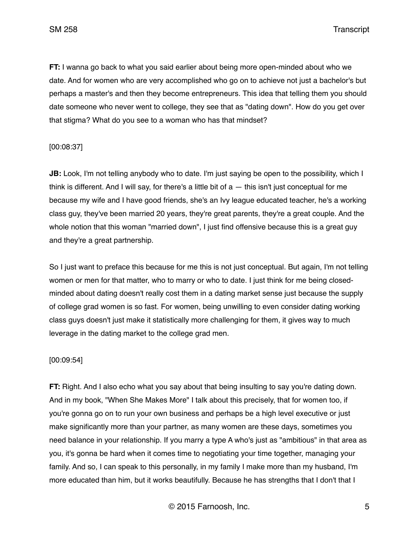**FT:** I wanna go back to what you said earlier about being more open-minded about who we date. And for women who are very accomplished who go on to achieve not just a bachelor's but perhaps a master's and then they become entrepreneurs. This idea that telling them you should date someone who never went to college, they see that as "dating down". How do you get over that stigma? What do you see to a woman who has that mindset?

# [00:08:37]

**JB:** Look, I'm not telling anybody who to date. I'm just saying be open to the possibility, which I think is different. And I will say, for there's a little bit of a — this isn't just conceptual for me because my wife and I have good friends, she's an Ivy league educated teacher, he's a working class guy, they've been married 20 years, they're great parents, they're a great couple. And the whole notion that this woman "married down", I just find offensive because this is a great guy and they're a great partnership.

So I just want to preface this because for me this is not just conceptual. But again, I'm not telling women or men for that matter, who to marry or who to date. I just think for me being closedminded about dating doesn't really cost them in a dating market sense just because the supply of college grad women is so fast. For women, being unwilling to even consider dating working class guys doesn't just make it statistically more challenging for them, it gives way to much leverage in the dating market to the college grad men.

## [00:09:54]

**FT:** Right. And I also echo what you say about that being insulting to say you're dating down. And in my book, "When She Makes More" I talk about this precisely, that for women too, if you're gonna go on to run your own business and perhaps be a high level executive or just make significantly more than your partner, as many women are these days, sometimes you need balance in your relationship. If you marry a type A who's just as "ambitious" in that area as you, it's gonna be hard when it comes time to negotiating your time together, managing your family. And so, I can speak to this personally, in my family I make more than my husband, I'm more educated than him, but it works beautifully. Because he has strengths that I don't that I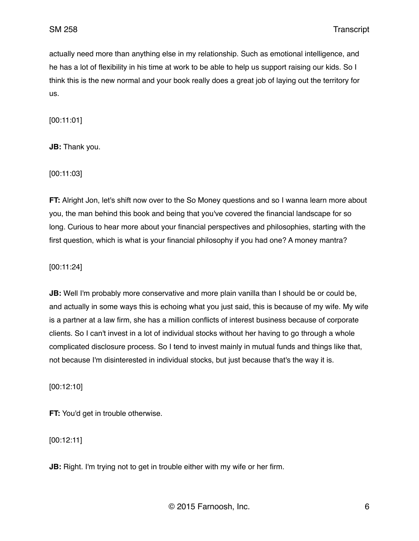actually need more than anything else in my relationship. Such as emotional intelligence, and he has a lot of flexibility in his time at work to be able to help us support raising our kids. So I think this is the new normal and your book really does a great job of laying out the territory for us.

[00:11:01]

**JB:** Thank you.

[00:11:03]

**FT:** Alright Jon, let's shift now over to the So Money questions and so I wanna learn more about you, the man behind this book and being that you've covered the financial landscape for so long. Curious to hear more about your financial perspectives and philosophies, starting with the first question, which is what is your financial philosophy if you had one? A money mantra?

[00:11:24]

**JB:** Well I'm probably more conservative and more plain vanilla than I should be or could be, and actually in some ways this is echoing what you just said, this is because of my wife. My wife is a partner at a law firm, she has a million conflicts of interest business because of corporate clients. So I can't invest in a lot of individual stocks without her having to go through a whole complicated disclosure process. So I tend to invest mainly in mutual funds and things like that, not because I'm disinterested in individual stocks, but just because that's the way it is.

[00:12:10]

**FT:** You'd get in trouble otherwise.

[00:12:11]

**JB:** Right. I'm trying not to get in trouble either with my wife or her firm.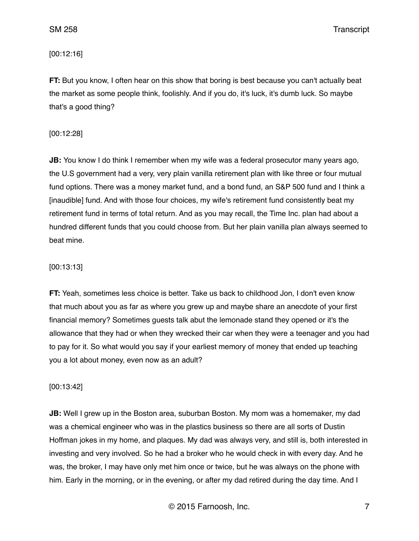[00:12:16]

**FT:** But you know, I often hear on this show that boring is best because you can't actually beat the market as some people think, foolishly. And if you do, it's luck, it's dumb luck. So maybe that's a good thing?

[00:12:28]

**JB:** You know I do think I remember when my wife was a federal prosecutor many years ago, the U.S government had a very, very plain vanilla retirement plan with like three or four mutual fund options. There was a money market fund, and a bond fund, an S&P 500 fund and I think a [inaudible] fund. And with those four choices, my wife's retirement fund consistently beat my retirement fund in terms of total return. And as you may recall, the Time Inc. plan had about a hundred different funds that you could choose from. But her plain vanilla plan always seemed to beat mine.

## [00:13:13]

**FT:** Yeah, sometimes less choice is better. Take us back to childhood Jon, I don't even know that much about you as far as where you grew up and maybe share an anecdote of your first financial memory? Sometimes guests talk abut the lemonade stand they opened or it's the allowance that they had or when they wrecked their car when they were a teenager and you had to pay for it. So what would you say if your earliest memory of money that ended up teaching you a lot about money, even now as an adult?

[00:13:42]

**JB:** Well I grew up in the Boston area, suburban Boston. My mom was a homemaker, my dad was a chemical engineer who was in the plastics business so there are all sorts of Dustin Hoffman jokes in my home, and plaques. My dad was always very, and still is, both interested in investing and very involved. So he had a broker who he would check in with every day. And he was, the broker, I may have only met him once or twice, but he was always on the phone with him. Early in the morning, or in the evening, or after my dad retired during the day time. And I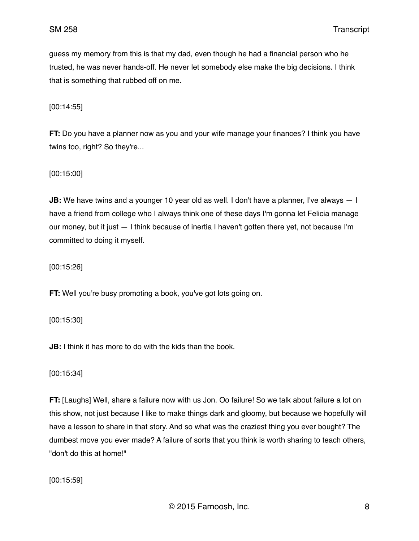guess my memory from this is that my dad, even though he had a financial person who he trusted, he was never hands-off. He never let somebody else make the big decisions. I think that is something that rubbed off on me.

[00:14:55]

**FT:** Do you have a planner now as you and your wife manage your finances? I think you have twins too, right? So they're...

[00:15:00]

**JB:** We have twins and a younger 10 year old as well. I don't have a planner, I've always  $-1$ have a friend from college who I always think one of these days I'm gonna let Felicia manage our money, but it just — I think because of inertia I haven't gotten there yet, not because I'm committed to doing it myself.

[00:15:26]

**FT:** Well you're busy promoting a book, you've got lots going on.

[00:15:30]

**JB:** I think it has more to do with the kids than the book.

[00:15:34]

**FT:** [Laughs] Well, share a failure now with us Jon. Oo failure! So we talk about failure a lot on this show, not just because I like to make things dark and gloomy, but because we hopefully will have a lesson to share in that story. And so what was the craziest thing you ever bought? The dumbest move you ever made? A failure of sorts that you think is worth sharing to teach others, "don't do this at home!"

[00:15:59]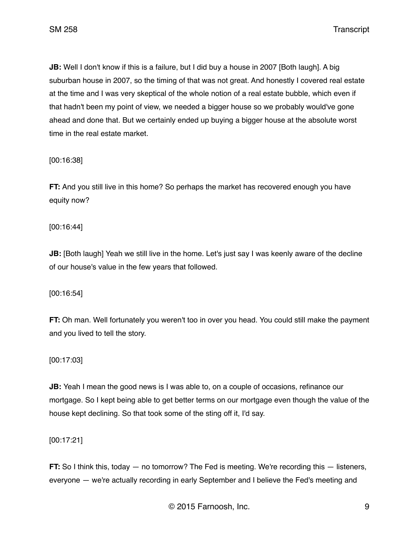**JB:** Well I don't know if this is a failure, but I did buy a house in 2007 [Both laugh]. A big suburban house in 2007, so the timing of that was not great. And honestly I covered real estate at the time and I was very skeptical of the whole notion of a real estate bubble, which even if that hadn't been my point of view, we needed a bigger house so we probably would've gone ahead and done that. But we certainly ended up buying a bigger house at the absolute worst time in the real estate market.

[00:16:38]

**FT:** And you still live in this home? So perhaps the market has recovered enough you have equity now?

[00:16:44]

**JB:** [Both laugh] Yeah we still live in the home. Let's just say I was keenly aware of the decline of our house's value in the few years that followed.

[00:16:54]

**FT:** Oh man. Well fortunately you weren't too in over you head. You could still make the payment and you lived to tell the story.

[00:17:03]

**JB:** Yeah I mean the good news is I was able to, on a couple of occasions, refinance our mortgage. So I kept being able to get better terms on our mortgage even though the value of the house kept declining. So that took some of the sting off it, I'd say.

[00:17:21]

**FT:** So I think this, today — no tomorrow? The Fed is meeting. We're recording this — listeners, everyone — we're actually recording in early September and I believe the Fed's meeting and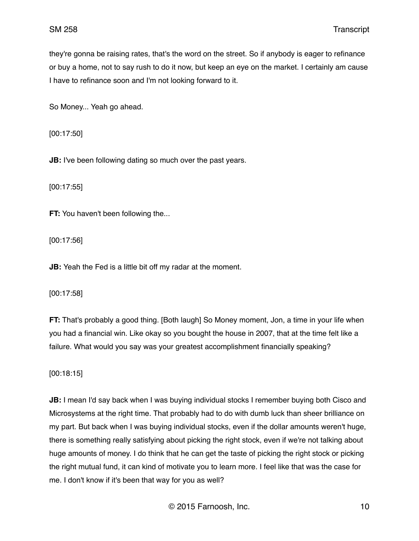they're gonna be raising rates, that's the word on the street. So if anybody is eager to refinance or buy a home, not to say rush to do it now, but keep an eye on the market. I certainly am cause I have to refinance soon and I'm not looking forward to it.

So Money... Yeah go ahead.

[00:17:50]

**JB:** I've been following dating so much over the past years.

[00:17:55]

**FT:** You haven't been following the...

[00:17:56]

**JB:** Yeah the Fed is a little bit off my radar at the moment.

[00:17:58]

**FT:** That's probably a good thing. [Both laugh] So Money moment, Jon, a time in your life when you had a financial win. Like okay so you bought the house in 2007, that at the time felt like a failure. What would you say was your greatest accomplishment financially speaking?

[00:18:15]

**JB:** I mean I'd say back when I was buying individual stocks I remember buying both Cisco and Microsystems at the right time. That probably had to do with dumb luck than sheer brilliance on my part. But back when I was buying individual stocks, even if the dollar amounts weren't huge, there is something really satisfying about picking the right stock, even if we're not talking about huge amounts of money. I do think that he can get the taste of picking the right stock or picking the right mutual fund, it can kind of motivate you to learn more. I feel like that was the case for me. I don't know if it's been that way for you as well?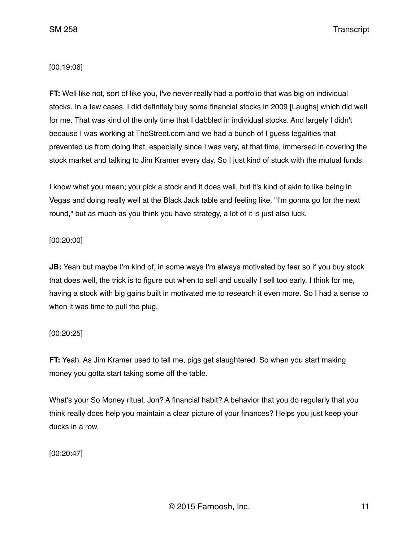## [00:19:06]

**FT:** Well like not, sort of like you, I've never really had a portfolio that was big on individual stocks. In a few cases. I did definitely buy some financial stocks in 2009 [Laughs] which did well for me. That was kind of the only time that I dabbled in individual stocks. And largely I didn't because I was working at TheStreet.com and we had a bunch of I guess legalities that prevented us from doing that, especially since I was very, at that time, immersed in covering the stock market and talking to Jim Kramer every day. So I just kind of stuck with the mutual funds.

I know what you mean; you pick a stock and it does well, but it's kind of akin to like being in Vegas and doing really well at the Black Jack table and feeling like, "I'm gonna go for the next round," but as much as you think you have strategy, a lot of it is just also luck.

## [00:20:00]

**JB:** Yeah but maybe I'm kind of, in some ways I'm always motivated by fear so if you buy stock that does well, the trick is to figure out when to sell and usually I sell too early. I think for me, having a stock with big gains built in motivated me to research it even more. So I had a sense to when it was time to pull the plug.

## [00:20:25]

**FT:** Yeah. As Jim Kramer used to tell me, pigs get slaughtered. So when you start making money you gotta start taking some off the table.

What's your So Money ritual, Jon? A financial habit? A behavior that you do regularly that you think really does help you maintain a clear picture of your finances? Helps you just keep your ducks in a row.

[00:20:47]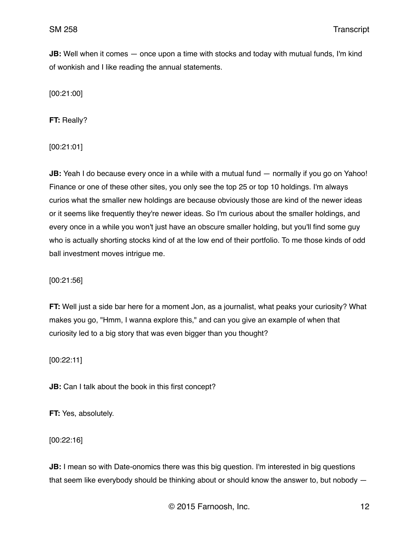**JB:** Well when it comes — once upon a time with stocks and today with mutual funds, I'm kind of wonkish and I like reading the annual statements.

[00:21:00]

**FT:** Really?

[00:21:01]

**JB:** Yeah I do because every once in a while with a mutual fund — normally if you go on Yahoo! Finance or one of these other sites, you only see the top 25 or top 10 holdings. I'm always curios what the smaller new holdings are because obviously those are kind of the newer ideas or it seems like frequently they're newer ideas. So I'm curious about the smaller holdings, and every once in a while you won't just have an obscure smaller holding, but you'll find some guy who is actually shorting stocks kind of at the low end of their portfolio. To me those kinds of odd ball investment moves intrigue me.

[00:21:56]

**FT:** Well just a side bar here for a moment Jon, as a journalist, what peaks your curiosity? What makes you go, "Hmm, I wanna explore this," and can you give an example of when that curiosity led to a big story that was even bigger than you thought?

[00:22:11]

**JB:** Can I talk about the book in this first concept?

**FT:** Yes, absolutely.

[00:22:16]

**JB:** I mean so with Date-onomics there was this big question. I'm interested in big questions that seem like everybody should be thinking about or should know the answer to, but nobody —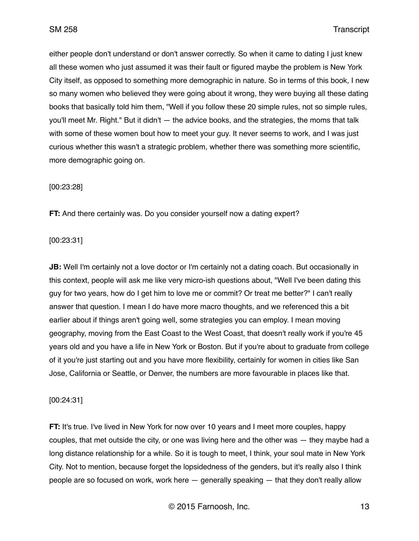either people don't understand or don't answer correctly. So when it came to dating I just knew all these women who just assumed it was their fault or figured maybe the problem is New York City itself, as opposed to something more demographic in nature. So in terms of this book, I new so many women who believed they were going about it wrong, they were buying all these dating books that basically told him them, "Well if you follow these 20 simple rules, not so simple rules, you'll meet Mr. Right." But it didn't — the advice books, and the strategies, the moms that talk with some of these women bout how to meet your guy. It never seems to work, and I was just curious whether this wasn't a strategic problem, whether there was something more scientific, more demographic going on.

[00:23:28]

**FT:** And there certainly was. Do you consider yourself now a dating expert?

### [00:23:31]

**JB:** Well I'm certainly not a love doctor or I'm certainly not a dating coach. But occasionally in this context, people will ask me like very micro-ish questions about, "Well I've been dating this guy for two years, how do I get him to love me or commit? Or treat me better?" I can't really answer that question. I mean I do have more macro thoughts, and we referenced this a bit earlier about if things aren't going well, some strategies you can employ. I mean moving geography, moving from the East Coast to the West Coast, that doesn't really work if you're 45 years old and you have a life in New York or Boston. But if you're about to graduate from college of it you're just starting out and you have more flexibility, certainly for women in cities like San Jose, California or Seattle, or Denver, the numbers are more favourable in places like that.

#### [00:24:31]

**FT:** It's true. I've lived in New York for now over 10 years and I meet more couples, happy couples, that met outside the city, or one was living here and the other was — they maybe had a long distance relationship for a while. So it is tough to meet, I think, your soul mate in New York City. Not to mention, because forget the lopsidedness of the genders, but it's really also I think people are so focused on work, work here — generally speaking — that they don't really allow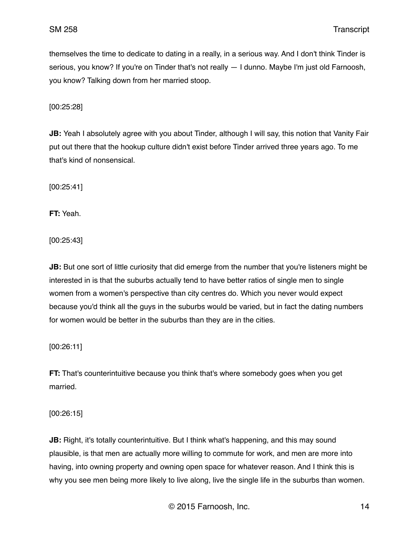themselves the time to dedicate to dating in a really, in a serious way. And I don't think Tinder is serious, you know? If you're on Tinder that's not really — I dunno. Maybe I'm just old Farnoosh, you know? Talking down from her married stoop.

[00:25:28]

**JB:** Yeah I absolutely agree with you about Tinder, although I will say, this notion that Vanity Fair put out there that the hookup culture didn't exist before Tinder arrived three years ago. To me that's kind of nonsensical.

[00:25:41]

**FT:** Yeah.

[00:25:43]

**JB:** But one sort of little curiosity that did emerge from the number that you're listeners might be interested in is that the suburbs actually tend to have better ratios of single men to single women from a women's perspective than city centres do. Which you never would expect because you'd think all the guys in the suburbs would be varied, but in fact the dating numbers for women would be better in the suburbs than they are in the cities.

[00:26:11]

**FT:** That's counterintuitive because you think that's where somebody goes when you get married.

[00:26:15]

**JB:** Right, it's totally counterintuitive. But I think what's happening, and this may sound plausible, is that men are actually more willing to commute for work, and men are more into having, into owning property and owning open space for whatever reason. And I think this is why you see men being more likely to live along, live the single life in the suburbs than women.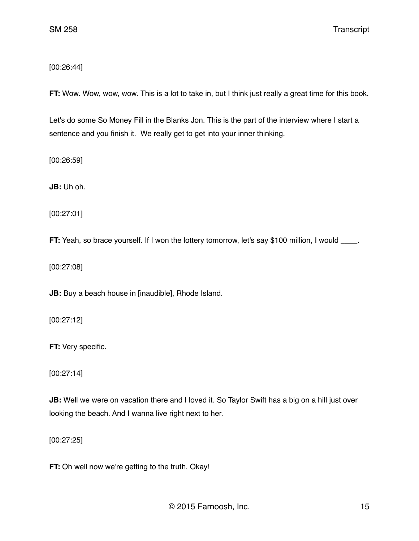[00:26:44]

**FT:** Wow. Wow, wow, wow. This is a lot to take in, but I think just really a great time for this book.

Let's do some So Money Fill in the Blanks Jon. This is the part of the interview where I start a sentence and you finish it. We really get to get into your inner thinking.

[00:26:59]

**JB:** Uh oh.

[00:27:01]

**FT:** Yeah, so brace yourself. If I won the lottery tomorrow, let's say \$100 million, I would \_\_\_\_.

[00:27:08]

**JB:** Buy a beach house in [inaudible], Rhode Island.

[00:27:12]

**FT:** Very specific.

[00:27:14]

**JB:** Well we were on vacation there and I loved it. So Taylor Swift has a big on a hill just over looking the beach. And I wanna live right next to her.

[00:27:25]

**FT:** Oh well now we're getting to the truth. Okay!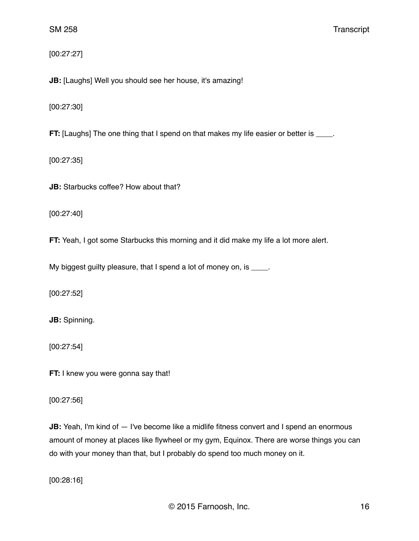[00:27:27]

**JB:** [Laughs] Well you should see her house, it's amazing!

[00:27:30]

**FT:** [Laughs] The one thing that I spend on that makes my life easier or better is \_\_\_\_.

[00:27:35]

**JB:** Starbucks coffee? How about that?

[00:27:40]

**FT:** Yeah, I got some Starbucks this morning and it did make my life a lot more alert.

My biggest guilty pleasure, that I spend a lot of money on, is \_\_\_\_.

[00:27:52]

**JB:** Spinning.

[00:27:54]

**FT:** I knew you were gonna say that!

[00:27:56]

**JB:** Yeah, I'm kind of  $-$  I've become like a midlife fitness convert and I spend an enormous amount of money at places like flywheel or my gym, Equinox. There are worse things you can do with your money than that, but I probably do spend too much money on it.

[00:28:16]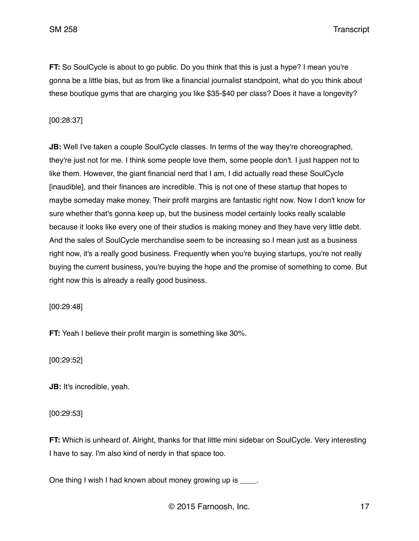**FT:** So SoulCycle is about to go public. Do you think that this is just a hype? I mean you're gonna be a little bias, but as from like a financial journalist standpoint, what do you think about these boutique gyms that are charging you like \$35-\$40 per class? Does it have a longevity?

# [00:28:37]

**JB:** Well I've taken a couple SoulCycle classes. In terms of the way they're choreographed, they're just not for me. I think some people love them, some people don't. I just happen not to like them. However, the giant financial nerd that I am, I did actually read these SoulCycle [inaudible], and their finances are incredible. This is not one of these startup that hopes to maybe someday make money. Their profit margins are fantastic right now. Now I don't know for sure whether that's gonna keep up, but the business model certainly looks really scalable because it looks like every one of their studios is making money and they have very little debt. And the sales of SoulCycle merchandise seem to be increasing so I mean just as a business right now, it's a really good business. Frequently when you're buying startups, you're not really buying the current business, you're buying the hope and the promise of something to come. But right now this is already a really good business.

[00:29:48]

**FT:** Yeah I believe their profit margin is something like 30%.

[00:29:52]

**JB:** It's incredible, yeah.

[00:29:53]

**FT:** Which is unheard of. Alright, thanks for that little mini sidebar on SoulCycle. Very interesting I have to say. I'm also kind of nerdy in that space too.

One thing I wish I had known about money growing up is \_\_\_\_.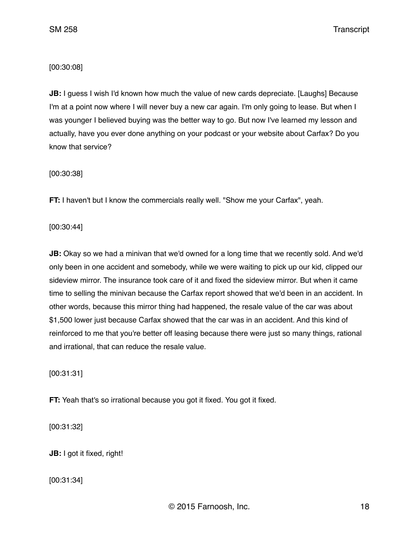[00:30:08]

**JB:** I guess I wish I'd known how much the value of new cards depreciate. [Laughs] Because I'm at a point now where I will never buy a new car again. I'm only going to lease. But when I was younger I believed buying was the better way to go. But now I've learned my lesson and actually, have you ever done anything on your podcast or your website about Carfax? Do you know that service?

[00:30:38]

**FT:** I haven't but I know the commercials really well. "Show me your Carfax", yeah.

[00:30:44]

**JB:** Okay so we had a minivan that we'd owned for a long time that we recently sold. And we'd only been in one accident and somebody, while we were waiting to pick up our kid, clipped our sideview mirror. The insurance took care of it and fixed the sideview mirror. But when it came time to selling the minivan because the Carfax report showed that we'd been in an accident. In other words, because this mirror thing had happened, the resale value of the car was about \$1,500 lower just because Carfax showed that the car was in an accident. And this kind of reinforced to me that you're better off leasing because there were just so many things, rational and irrational, that can reduce the resale value.

[00:31:31]

**FT:** Yeah that's so irrational because you got it fixed. You got it fixed.

[00:31:32]

**JB:** I got it fixed, right!

[00:31:34]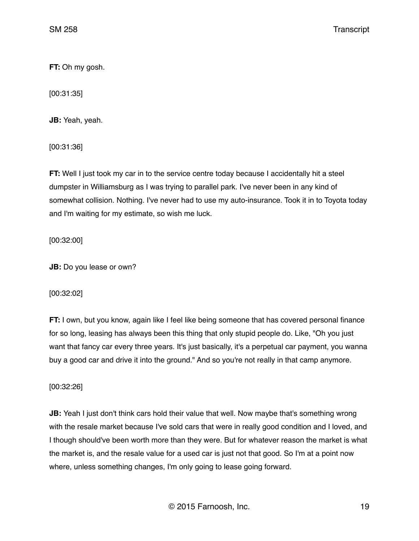**FT:** Oh my gosh.

[00:31:35]

**JB:** Yeah, yeah.

[00:31:36]

**FT:** Well I just took my car in to the service centre today because I accidentally hit a steel dumpster in Williamsburg as I was trying to parallel park. I've never been in any kind of somewhat collision. Nothing. I've never had to use my auto-insurance. Took it in to Toyota today and I'm waiting for my estimate, so wish me luck.

[00:32:00]

**JB:** Do you lease or own?

[00:32:02]

**FT:** I own, but you know, again like I feel like being someone that has covered personal finance for so long, leasing has always been this thing that only stupid people do. Like, "Oh you just want that fancy car every three years. It's just basically, it's a perpetual car payment, you wanna buy a good car and drive it into the ground." And so you're not really in that camp anymore.

[00:32:26]

**JB:** Yeah I just don't think cars hold their value that well. Now maybe that's something wrong with the resale market because I've sold cars that were in really good condition and I loved, and I though should've been worth more than they were. But for whatever reason the market is what the market is, and the resale value for a used car is just not that good. So I'm at a point now where, unless something changes, I'm only going to lease going forward.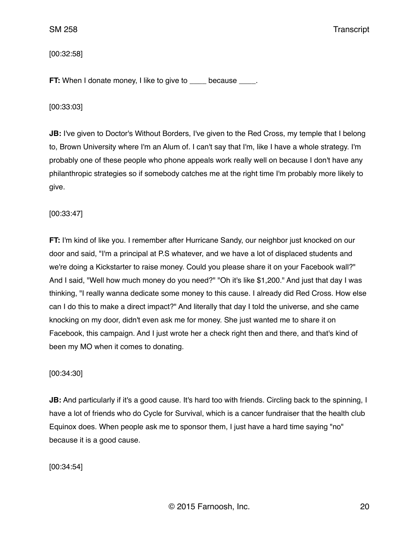## [00:32:58]

**FT:** When I donate money, I like to give to \_\_\_\_ because \_\_\_\_.

#### [00:33:03]

**JB:** I've given to Doctor's Without Borders, I've given to the Red Cross, my temple that I belong to, Brown University where I'm an Alum of. I can't say that I'm, like I have a whole strategy. I'm probably one of these people who phone appeals work really well on because I don't have any philanthropic strategies so if somebody catches me at the right time I'm probably more likely to give.

#### [00:33:47]

**FT:** I'm kind of like you. I remember after Hurricane Sandy, our neighbor just knocked on our door and said, "I'm a principal at P.S whatever, and we have a lot of displaced students and we're doing a Kickstarter to raise money. Could you please share it on your Facebook wall?" And I said, "Well how much money do you need?" "Oh it's like \$1,200." And just that day I was thinking, "I really wanna dedicate some money to this cause. I already did Red Cross. How else can I do this to make a direct impact?" And literally that day I told the universe, and she came knocking on my door, didn't even ask me for money. She just wanted me to share it on Facebook, this campaign. And I just wrote her a check right then and there, and that's kind of been my MO when it comes to donating.

#### [00:34:30]

**JB:** And particularly if it's a good cause. It's hard too with friends. Circling back to the spinning, I have a lot of friends who do Cycle for Survival, which is a cancer fundraiser that the health club Equinox does. When people ask me to sponsor them, I just have a hard time saying "no" because it is a good cause.

[00:34:54]